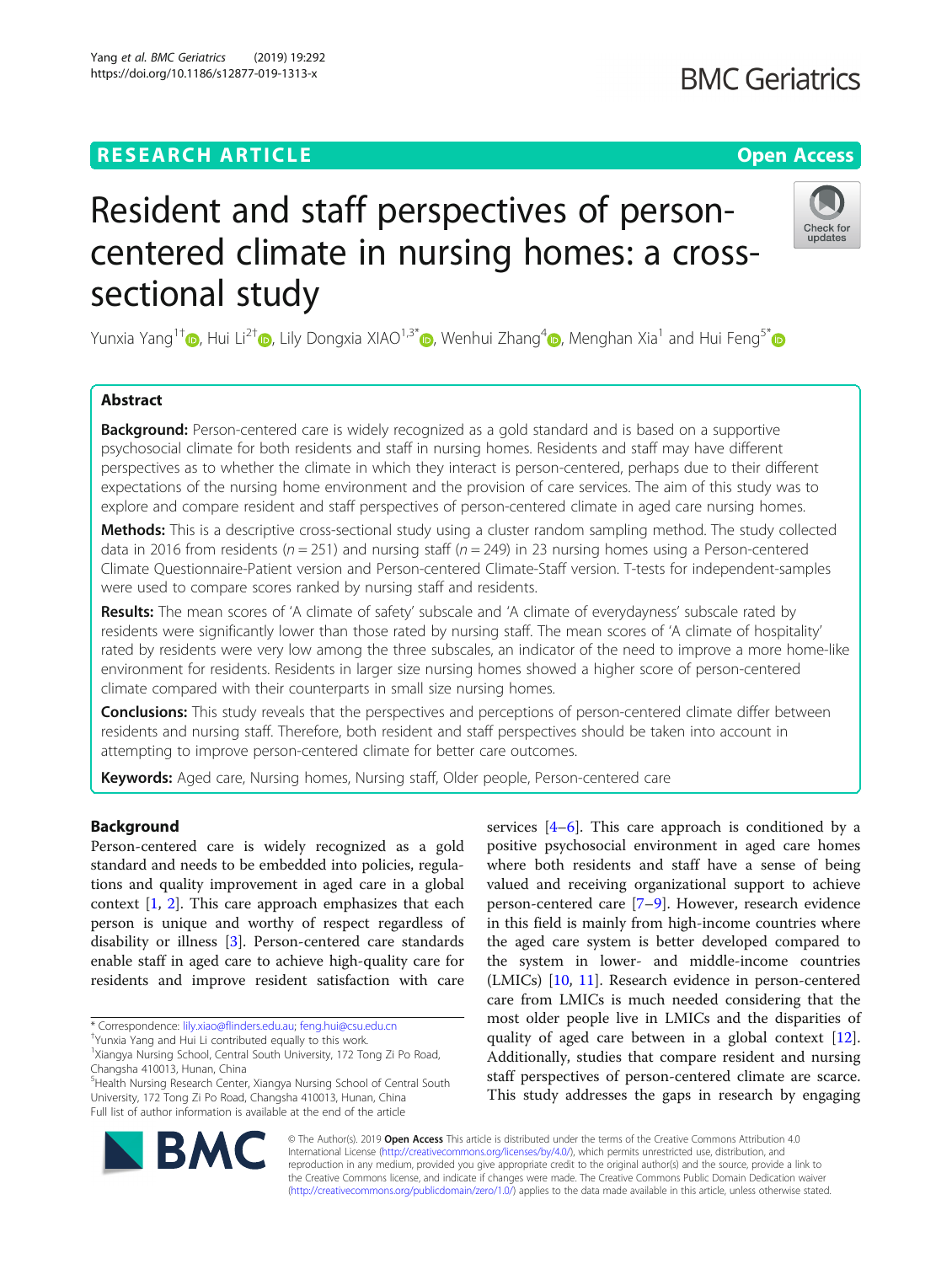# **RESEARCH ARTICLE Example 2014 12:30 The Contract of Contract ACCESS**

Yang et al. BMC Geriatrics (2019) 19:292 https://doi.org/10.1186/s12877-019-1313-x

# Resident and staff perspectives of personcentered climate in nursing homes: a crosssectional study

Yunxia Yang<sup>1†</sup> [,](http://orcid.org/0000-0002-1763-1365) Hui Li<sup>2[†](http://orcid.org/0000-0001-5362-7155)</sup> , Lily Dongxia XIAO<sup>1,3[\\*](http://orcid.org/0000-0002-4631-2443)</sup> , Wenhui Zhang<sup>[4](http://orcid.org/0000-0001-9328-2315)</sup> , Menghan Xia<sup>1</sup> and Hui Feng<sup>5\*</sup>

# Abstract

Background: Person-centered care is widely recognized as a gold standard and is based on a supportive psychosocial climate for both residents and staff in nursing homes. Residents and staff may have different perspectives as to whether the climate in which they interact is person-centered, perhaps due to their different expectations of the nursing home environment and the provision of care services. The aim of this study was to explore and compare resident and staff perspectives of person-centered climate in aged care nursing homes.

Methods: This is a descriptive cross-sectional study using a cluster random sampling method. The study collected data in 2016 from residents ( $n = 251$ ) and nursing staff ( $n = 249$ ) in 23 nursing homes using a Person-centered Climate Questionnaire-Patient version and Person-centered Climate-Staff version. T-tests for independent-samples were used to compare scores ranked by nursing staff and residents.

Results: The mean scores of 'A climate of safety' subscale and 'A climate of everydayness' subscale rated by residents were significantly lower than those rated by nursing staff. The mean scores of 'A climate of hospitality' rated by residents were very low among the three subscales, an indicator of the need to improve a more home-like environment for residents. Residents in larger size nursing homes showed a higher score of person-centered climate compared with their counterparts in small size nursing homes.

**Conclusions:** This study reveals that the perspectives and perceptions of person-centered climate differ between residents and nursing staff. Therefore, both resident and staff perspectives should be taken into account in attempting to improve person-centered climate for better care outcomes.

Keywords: Aged care, Nursing homes, Nursing staff, Older people, Person-centered care

# Background

Person-centered care is widely recognized as a gold standard and needs to be embedded into policies, regulations and quality improvement in aged care in a global context [[1,](#page-8-0) [2\]](#page-8-0). This care approach emphasizes that each person is unique and worthy of respect regardless of disability or illness [[3\]](#page-8-0). Person-centered care standards enable staff in aged care to achieve high-quality care for residents and improve resident satisfaction with care

5 Health Nursing Research Center, Xiangya Nursing School of Central South University, 172 Tong Zi Po Road, Changsha 410013, Hunan, China Full list of author information is available at the end of the article

> © The Author(s). 2019 **Open Access** This article is distributed under the terms of the Creative Commons Attribution 4.0 International License [\(http://creativecommons.org/licenses/by/4.0/](http://creativecommons.org/licenses/by/4.0/)), which permits unrestricted use, distribution, and reproduction in any medium, provided you give appropriate credit to the original author(s) and the source, provide a link to the Creative Commons license, and indicate if changes were made. The Creative Commons Public Domain Dedication waiver [\(http://creativecommons.org/publicdomain/zero/1.0/](http://creativecommons.org/publicdomain/zero/1.0/)) applies to the data made available in this article, unless otherwise stated.

services [[4](#page-8-0)–[6\]](#page-8-0). This care approach is conditioned by a positive psychosocial environment in aged care homes where both residents and staff have a sense of being valued and receiving organizational support to achieve person-centered care [\[7](#page-8-0)–[9](#page-8-0)]. However, research evidence in this field is mainly from high-income countries where the aged care system is better developed compared to the system in lower- and middle-income countries (LMICs) [\[10](#page-8-0), [11](#page-8-0)]. Research evidence in person-centered care from LMICs is much needed considering that the most older people live in LMICs and the disparities of quality of aged care between in a global context [\[12](#page-9-0)]. Additionally, studies that compare resident and nursing staff perspectives of person-centered climate are scarce. This study addresses the gaps in research by engaging





<sup>\*</sup> Correspondence: [lily.xiao@flinders.edu.au](mailto:lily.xiao@flinders.edu.au); [feng.hui@csu.edu.cn](mailto:feng.hui@csu.edu.cn) †

Yunxia Yang and Hui Li contributed equally to this work.

<sup>&</sup>lt;sup>1</sup>Xiangya Nursing School, Central South University, 172 Tong Zi Po Road, Changsha 410013, Hunan, China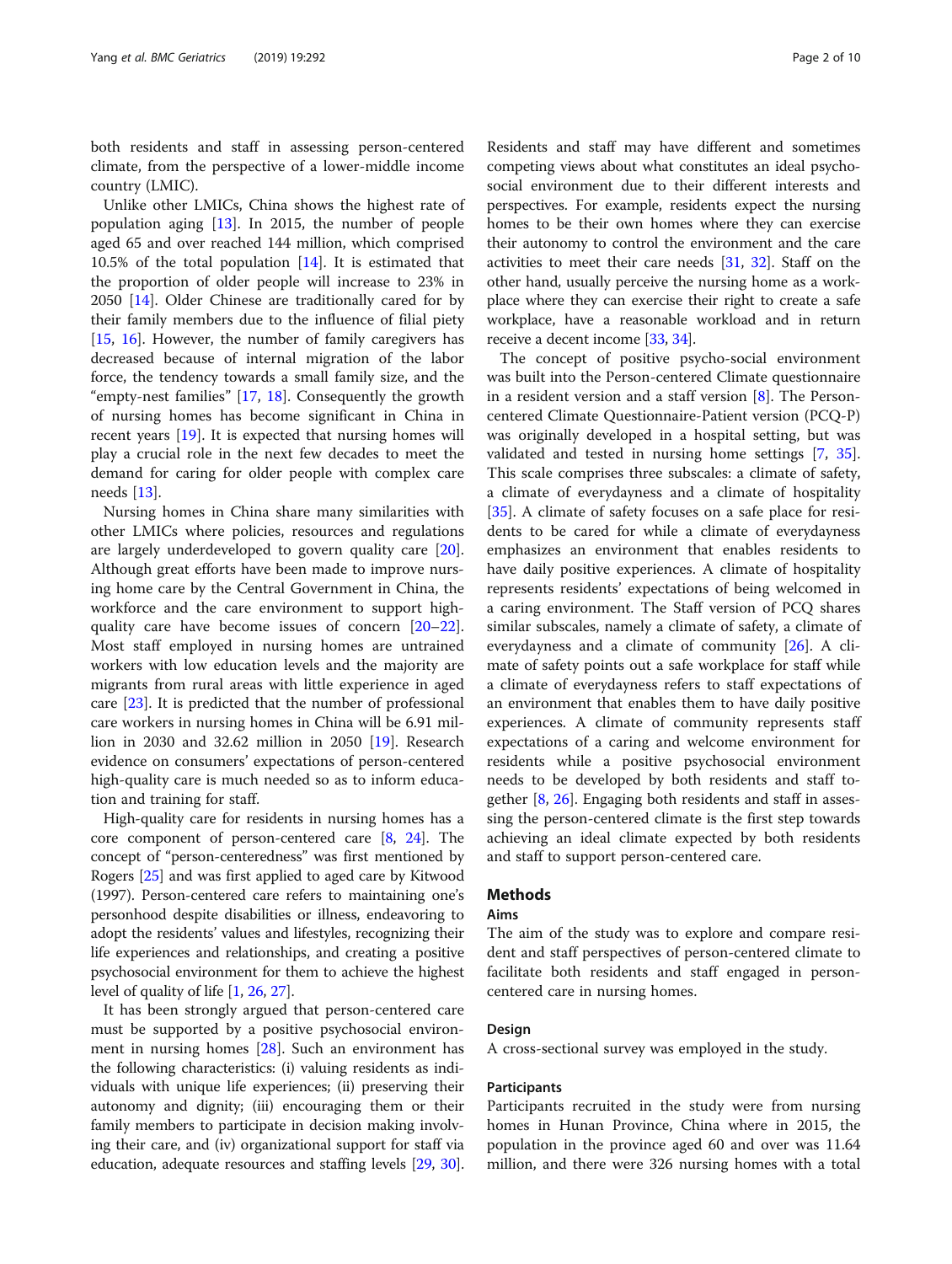both residents and staff in assessing person-centered climate, from the perspective of a lower-middle income country (LMIC).

Unlike other LMICs, China shows the highest rate of population aging [[13](#page-9-0)]. In 2015, the number of people aged 65 and over reached 144 million, which comprised 10.5% of the total population [\[14](#page-9-0)]. It is estimated that the proportion of older people will increase to 23% in 2050 [[14\]](#page-9-0). Older Chinese are traditionally cared for by their family members due to the influence of filial piety [[15,](#page-9-0) [16\]](#page-9-0). However, the number of family caregivers has decreased because of internal migration of the labor force, the tendency towards a small family size, and the "empty-nest families" [\[17](#page-9-0), [18\]](#page-9-0). Consequently the growth of nursing homes has become significant in China in recent years [\[19](#page-9-0)]. It is expected that nursing homes will play a crucial role in the next few decades to meet the demand for caring for older people with complex care needs [[13\]](#page-9-0).

Nursing homes in China share many similarities with other LMICs where policies, resources and regulations are largely underdeveloped to govern quality care [\[20](#page-9-0)]. Although great efforts have been made to improve nursing home care by the Central Government in China, the workforce and the care environment to support highquality care have become issues of concern [[20](#page-9-0)–[22](#page-9-0)]. Most staff employed in nursing homes are untrained workers with low education levels and the majority are migrants from rural areas with little experience in aged care [\[23\]](#page-9-0). It is predicted that the number of professional care workers in nursing homes in China will be 6.91 million in 2030 and 32.62 million in 2050 [\[19](#page-9-0)]. Research evidence on consumers' expectations of person-centered high-quality care is much needed so as to inform education and training for staff.

High-quality care for residents in nursing homes has a core component of person-centered care [\[8,](#page-8-0) [24](#page-9-0)]. The concept of "person-centeredness" was first mentioned by Rogers [\[25\]](#page-9-0) and was first applied to aged care by Kitwood (1997). Person-centered care refers to maintaining one's personhood despite disabilities or illness, endeavoring to adopt the residents' values and lifestyles, recognizing their life experiences and relationships, and creating a positive psychosocial environment for them to achieve the highest level of quality of life [[1](#page-8-0), [26,](#page-9-0) [27](#page-9-0)].

It has been strongly argued that person-centered care must be supported by a positive psychosocial environment in nursing homes [\[28](#page-9-0)]. Such an environment has the following characteristics: (i) valuing residents as individuals with unique life experiences; (ii) preserving their autonomy and dignity; (iii) encouraging them or their family members to participate in decision making involving their care, and (iv) organizational support for staff via education, adequate resources and staffing levels [[29](#page-9-0), [30](#page-9-0)].

Residents and staff may have different and sometimes competing views about what constitutes an ideal psychosocial environment due to their different interests and perspectives. For example, residents expect the nursing homes to be their own homes where they can exercise their autonomy to control the environment and the care activities to meet their care needs [\[31,](#page-9-0) [32\]](#page-9-0). Staff on the other hand, usually perceive the nursing home as a workplace where they can exercise their right to create a safe workplace, have a reasonable workload and in return receive a decent income [\[33](#page-9-0), [34](#page-9-0)].

The concept of positive psycho-social environment was built into the Person-centered Climate questionnaire in a resident version and a staff version [\[8](#page-8-0)]. The Personcentered Climate Questionnaire-Patient version (PCQ-P) was originally developed in a hospital setting, but was validated and tested in nursing home settings [\[7](#page-8-0), [35](#page-9-0)]. This scale comprises three subscales: a climate of safety, a climate of everydayness and a climate of hospitality [[35\]](#page-9-0). A climate of safety focuses on a safe place for residents to be cared for while a climate of everydayness emphasizes an environment that enables residents to have daily positive experiences. A climate of hospitality represents residents' expectations of being welcomed in a caring environment. The Staff version of PCQ shares similar subscales, namely a climate of safety, a climate of everydayness and a climate of community [[26](#page-9-0)]. A climate of safety points out a safe workplace for staff while a climate of everydayness refers to staff expectations of an environment that enables them to have daily positive experiences. A climate of community represents staff expectations of a caring and welcome environment for residents while a positive psychosocial environment needs to be developed by both residents and staff together [[8](#page-8-0), [26](#page-9-0)]. Engaging both residents and staff in assessing the person-centered climate is the first step towards achieving an ideal climate expected by both residents and staff to support person-centered care.

# Methods

#### Aims

The aim of the study was to explore and compare resident and staff perspectives of person-centered climate to facilitate both residents and staff engaged in personcentered care in nursing homes.

#### Design

A cross-sectional survey was employed in the study.

# Participants

Participants recruited in the study were from nursing homes in Hunan Province, China where in 2015, the population in the province aged 60 and over was 11.64 million, and there were 326 nursing homes with a total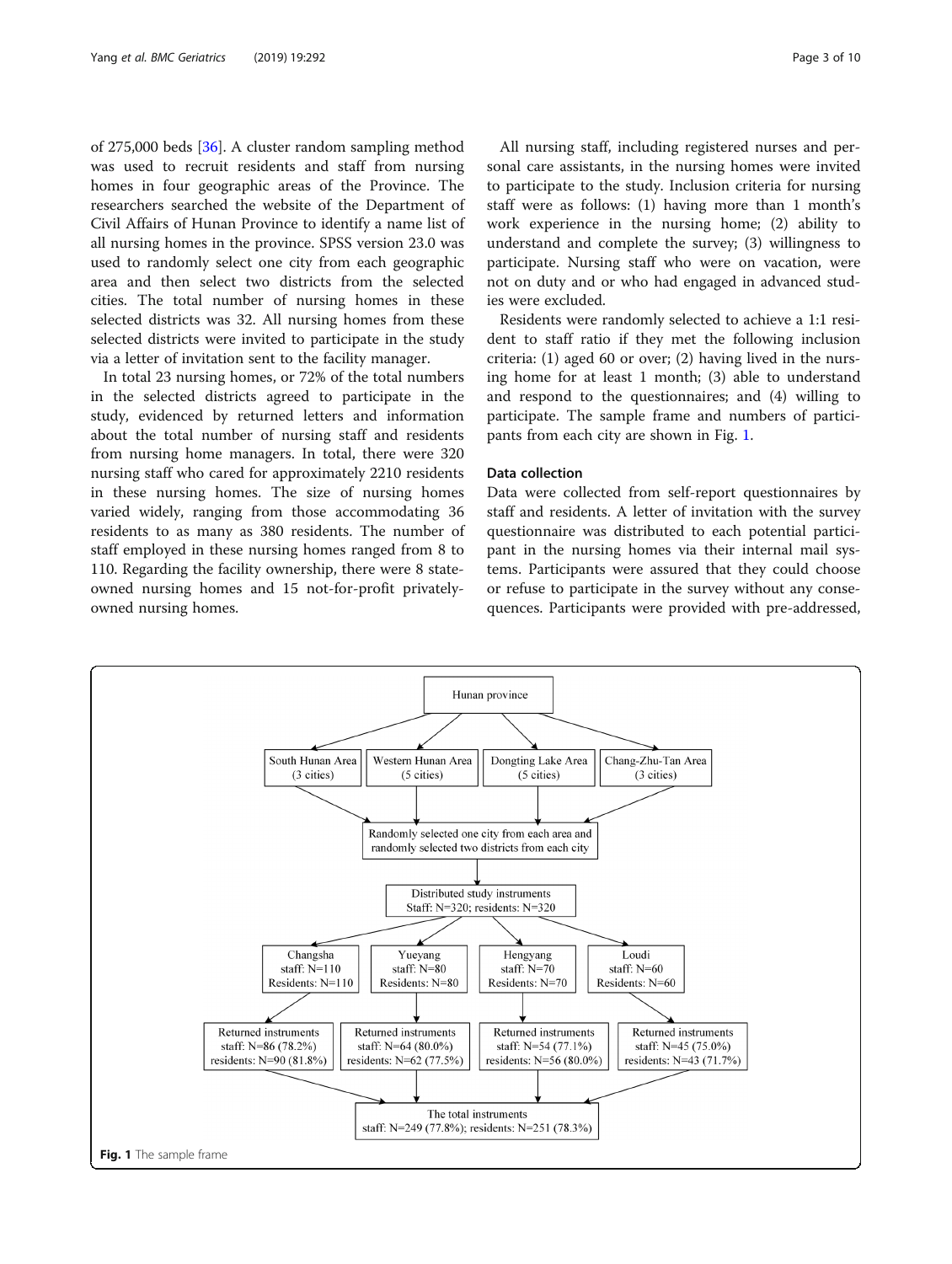of 275,000 beds [[36](#page-9-0)]. A cluster random sampling method was used to recruit residents and staff from nursing homes in four geographic areas of the Province. The researchers searched the website of the Department of Civil Affairs of Hunan Province to identify a name list of all nursing homes in the province. SPSS version 23.0 was used to randomly select one city from each geographic area and then select two districts from the selected cities. The total number of nursing homes in these selected districts was 32. All nursing homes from these selected districts were invited to participate in the study via a letter of invitation sent to the facility manager.

In total 23 nursing homes, or 72% of the total numbers in the selected districts agreed to participate in the study, evidenced by returned letters and information about the total number of nursing staff and residents from nursing home managers. In total, there were 320 nursing staff who cared for approximately 2210 residents in these nursing homes. The size of nursing homes varied widely, ranging from those accommodating 36 residents to as many as 380 residents. The number of staff employed in these nursing homes ranged from 8 to 110. Regarding the facility ownership, there were 8 stateowned nursing homes and 15 not-for-profit privatelyowned nursing homes.

All nursing staff, including registered nurses and personal care assistants, in the nursing homes were invited to participate to the study. Inclusion criteria for nursing staff were as follows: (1) having more than 1 month's work experience in the nursing home; (2) ability to understand and complete the survey; (3) willingness to participate. Nursing staff who were on vacation, were not on duty and or who had engaged in advanced studies were excluded.

Residents were randomly selected to achieve a 1:1 resident to staff ratio if they met the following inclusion criteria: (1) aged 60 or over; (2) having lived in the nursing home for at least 1 month; (3) able to understand and respond to the questionnaires; and (4) willing to participate. The sample frame and numbers of participants from each city are shown in Fig. 1.

# Data collection

Data were collected from self-report questionnaires by staff and residents. A letter of invitation with the survey questionnaire was distributed to each potential participant in the nursing homes via their internal mail systems. Participants were assured that they could choose or refuse to participate in the survey without any consequences. Participants were provided with pre-addressed,

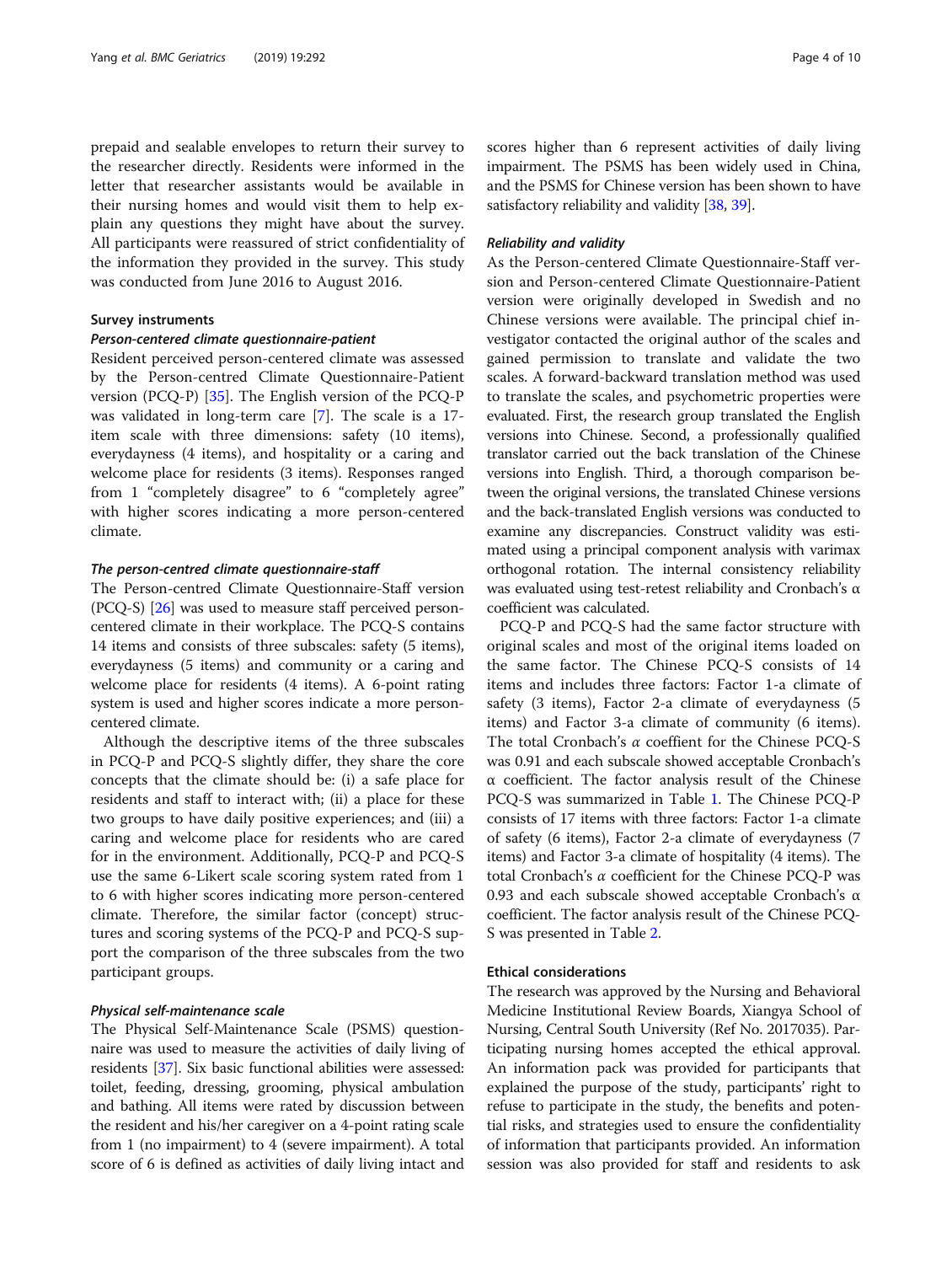prepaid and sealable envelopes to return their survey to the researcher directly. Residents were informed in the letter that researcher assistants would be available in their nursing homes and would visit them to help explain any questions they might have about the survey. All participants were reassured of strict confidentiality of the information they provided in the survey. This study was conducted from June 2016 to August 2016.

# Survey instruments

## Person-centered climate questionnaire-patient

Resident perceived person-centered climate was assessed by the Person-centred Climate Questionnaire-Patient version (PCQ-P) [[35\]](#page-9-0). The English version of the PCQ-P was validated in long-term care [[7\]](#page-8-0). The scale is a 17 item scale with three dimensions: safety (10 items), everydayness (4 items), and hospitality or a caring and welcome place for residents (3 items). Responses ranged from 1 "completely disagree" to 6 "completely agree" with higher scores indicating a more person-centered climate.

#### The person-centred climate questionnaire-staff

The Person-centred Climate Questionnaire-Staff version (PCQ-S) [[26\]](#page-9-0) was used to measure staff perceived personcentered climate in their workplace. The PCQ-S contains 14 items and consists of three subscales: safety (5 items), everydayness (5 items) and community or a caring and welcome place for residents (4 items). A 6-point rating system is used and higher scores indicate a more personcentered climate.

Although the descriptive items of the three subscales in PCQ-P and PCQ-S slightly differ, they share the core concepts that the climate should be: (i) a safe place for residents and staff to interact with; (ii) a place for these two groups to have daily positive experiences; and (iii) a caring and welcome place for residents who are cared for in the environment. Additionally, PCQ-P and PCQ-S use the same 6-Likert scale scoring system rated from 1 to 6 with higher scores indicating more person-centered climate. Therefore, the similar factor (concept) structures and scoring systems of the PCQ-P and PCQ-S support the comparison of the three subscales from the two participant groups.

#### Physical self-maintenance scale

The Physical Self-Maintenance Scale (PSMS) questionnaire was used to measure the activities of daily living of residents [[37](#page-9-0)]. Six basic functional abilities were assessed: toilet, feeding, dressing, grooming, physical ambulation and bathing. All items were rated by discussion between the resident and his/her caregiver on a 4-point rating scale from 1 (no impairment) to 4 (severe impairment). A total score of 6 is defined as activities of daily living intact and scores higher than 6 represent activities of daily living impairment. The PSMS has been widely used in China, and the PSMS for Chinese version has been shown to have satisfactory reliability and validity [\[38,](#page-9-0) [39](#page-9-0)].

#### Reliability and validity

As the Person-centered Climate Questionnaire-Staff version and Person-centered Climate Questionnaire-Patient version were originally developed in Swedish and no Chinese versions were available. The principal chief investigator contacted the original author of the scales and gained permission to translate and validate the two scales. A forward-backward translation method was used to translate the scales, and psychometric properties were evaluated. First, the research group translated the English versions into Chinese. Second, a professionally qualified translator carried out the back translation of the Chinese versions into English. Third, a thorough comparison between the original versions, the translated Chinese versions and the back-translated English versions was conducted to examine any discrepancies. Construct validity was estimated using a principal component analysis with varimax orthogonal rotation. The internal consistency reliability was evaluated using test-retest reliability and Cronbach's α coefficient was calculated.

PCQ-P and PCQ-S had the same factor structure with original scales and most of the original items loaded on the same factor. The Chinese PCQ-S consists of 14 items and includes three factors: Factor 1-a climate of safety (3 items), Factor 2-a climate of everydayness (5 items) and Factor 3-a climate of community (6 items). The total Cronbach's α coeffient for the Chinese PCQ-S was 0.91 and each subscale showed acceptable Cronbach's α coefficient. The factor analysis result of the Chinese PCQ-S was summarized in Table [1](#page-4-0). The Chinese PCQ-P consists of 17 items with three factors: Factor 1-a climate of safety (6 items), Factor 2-a climate of everydayness (7 items) and Factor 3-a climate of hospitality (4 items). The total Cronbach's α coefficient for the Chinese PCQ-P was 0.93 and each subscale showed acceptable Cronbach's α coefficient. The factor analysis result of the Chinese PCQ-S was presented in Table [2.](#page-4-0)

#### Ethical considerations

The research was approved by the Nursing and Behavioral Medicine Institutional Review Boards, Xiangya School of Nursing, Central South University (Ref No. 2017035). Participating nursing homes accepted the ethical approval. An information pack was provided for participants that explained the purpose of the study, participants' right to refuse to participate in the study, the benefits and potential risks, and strategies used to ensure the confidentiality of information that participants provided. An information session was also provided for staff and residents to ask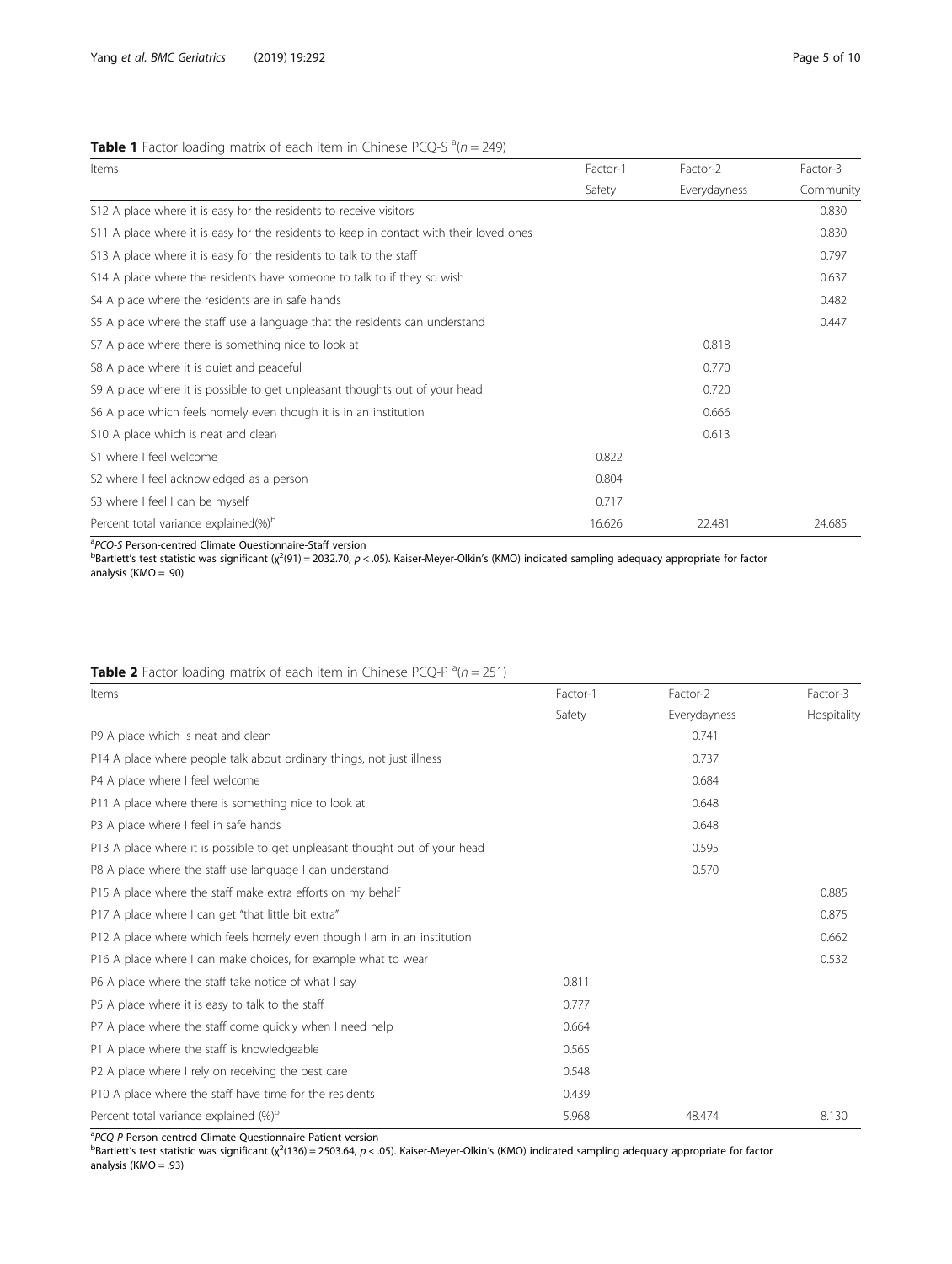# <span id="page-4-0"></span>**Table 1** Factor loading matrix of each item in Chinese PCQ-S  $^{\text{a}}(n = 249)$

| Items                                                                                   | Factor-1 | Factor-2     | Factor-3  |
|-----------------------------------------------------------------------------------------|----------|--------------|-----------|
|                                                                                         | Safety   | Everydayness | Community |
| S12 A place where it is easy for the residents to receive visitors                      |          |              | 0.830     |
| S11 A place where it is easy for the residents to keep in contact with their loved ones |          |              | 0.830     |
| \$13 A place where it is easy for the residents to talk to the staff                    |          |              | 0.797     |
| \$14 A place where the residents have someone to talk to if they so wish                |          |              | 0.637     |
| S4 A place where the residents are in safe hands                                        |          |              | 0.482     |
| S5 A place where the staff use a language that the residents can understand             |          |              | 0.447     |
| S7 A place where there is something nice to look at                                     |          | 0.818        |           |
| S8 A place where it is quiet and peaceful                                               |          | 0.770        |           |
| S9 A place where it is possible to get unpleasant thoughts out of your head             |          | 0.720        |           |
| S6 A place which feels homely even though it is in an institution                       |          | 0.666        |           |
| S10 A place which is neat and clean                                                     |          | 0.613        |           |
| S1 where I feel welcome                                                                 | 0.822    |              |           |
| S2 where I feel acknowledged as a person                                                | 0.804    |              |           |
| S3 where I feel I can be myself                                                         | 0.717    |              |           |
| Percent total variance explained(%) <sup>b</sup>                                        | 16.626   | 22.481       | 24.685    |

<sup>a</sup>PCQ-S Person-centred Climate Questionnaire-Staff version

<sup>a</sup>PCQ-S Person-centred Climate Questionnaire-Staff version<br><sup>b</sup>Bartlett's test statistic was significant (χ<sup>2</sup>(91) = 2032.70, *p* < .05). Kaiser-Meyer-Olkin's (KMO) indicated sampling adequacy appropriate for factor analysis (KMO = .90)

# **Table 2** Factor loading matrix of each item in Chinese PCQ-P  $^a(n = 251)$

| Items                                                                       | Factor-1 | Factor-2     | Factor-3    |
|-----------------------------------------------------------------------------|----------|--------------|-------------|
|                                                                             | Safety   | Everydayness | Hospitality |
| P9 A place which is neat and clean                                          |          | 0.741        |             |
| P14 A place where people talk about ordinary things, not just illness       |          | 0.737        |             |
| P4 A place where I feel welcome                                             |          | 0.684        |             |
| P11 A place where there is something nice to look at                        |          | 0.648        |             |
| P3 A place where I feel in safe hands                                       |          | 0.648        |             |
| P13 A place where it is possible to get unpleasant thought out of your head |          | 0.595        |             |
| P8 A place where the staff use language I can understand                    |          | 0.570        |             |
| P15 A place where the staff make extra efforts on my behalf                 |          |              | 0.885       |
| P17 A place where I can get "that little bit extra"                         |          |              | 0.875       |
| P12 A place where which feels homely even though I am in an institution     |          |              | 0.662       |
| P16 A place where I can make choices, for example what to wear              |          |              | 0.532       |
| P6 A place where the staff take notice of what I say                        | 0.811    |              |             |
| P5 A place where it is easy to talk to the staff                            | 0.777    |              |             |
| P7 A place where the staff come quickly when I need help                    | 0.664    |              |             |
| P1 A place where the staff is knowledgeable                                 | 0.565    |              |             |
| P2 A place where I rely on receiving the best care                          | 0.548    |              |             |
| P10 A place where the staff have time for the residents                     | 0.439    |              |             |
| Percent total variance explained (%) <sup>b</sup>                           | 5.968    | 48.474       | 8.130       |

<sup>a</sup>PCQ-P Person-centred Climate Questionnaire-Patient version<br><sup>b</sup>Bartlett's test statistic was significant (χ<sup>2</sup>(136) = 2503.64, *p* < .05). Kaiser-Meyer-Olkin's (KMO) indicated sampling adequacy appropriate for factor analysis (KMO = .93)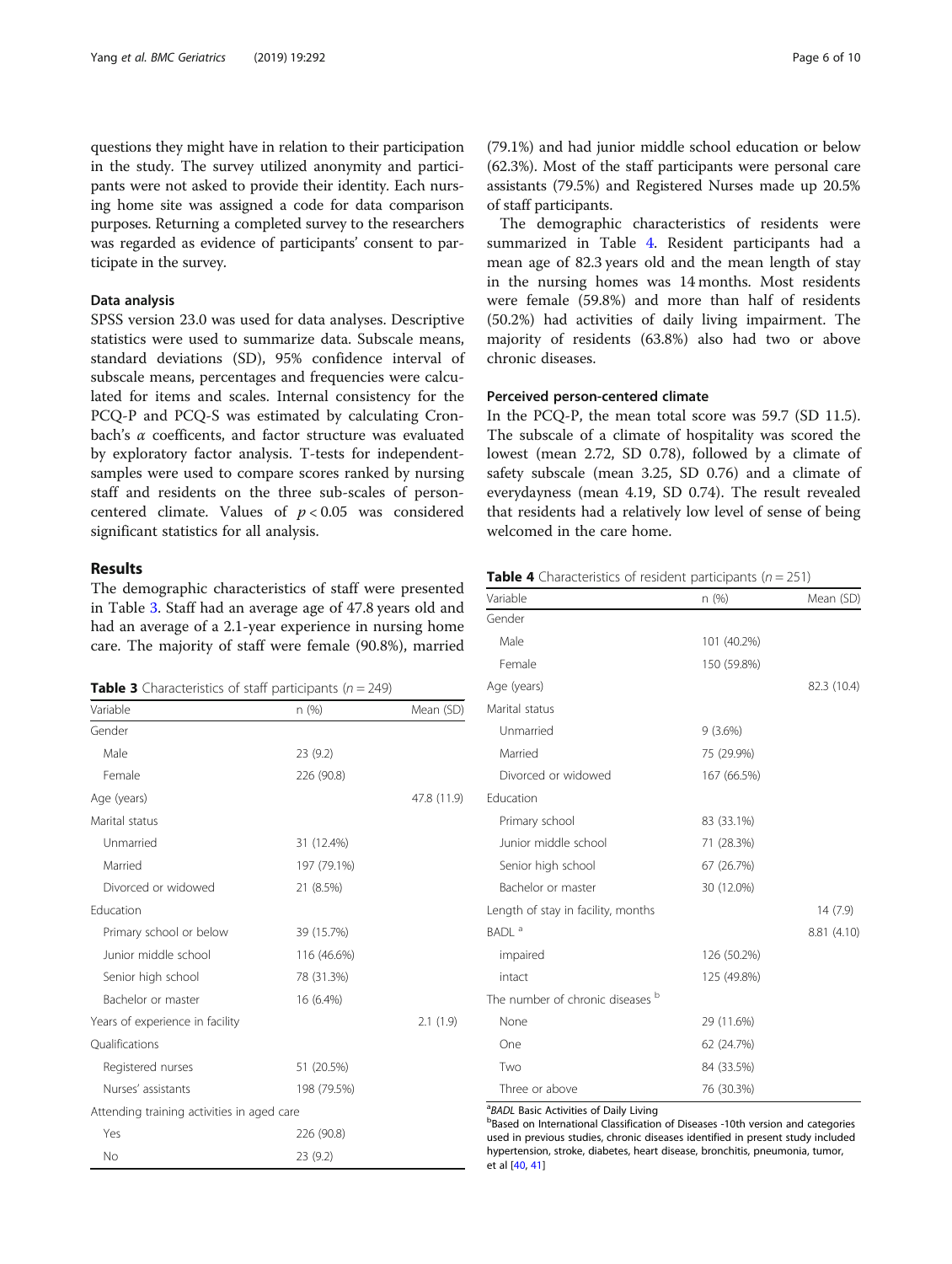questions they might have in relation to their participation in the study. The survey utilized anonymity and participants were not asked to provide their identity. Each nursing home site was assigned a code for data comparison purposes. Returning a completed survey to the researchers was regarded as evidence of participants' consent to participate in the survey.

#### Data analysis

SPSS version 23.0 was used for data analyses. Descriptive statistics were used to summarize data. Subscale means, standard deviations (SD), 95% confidence interval of subscale means, percentages and frequencies were calculated for items and scales. Internal consistency for the PCQ-P and PCQ-S was estimated by calculating Cronbach's  $\alpha$  coefficents, and factor structure was evaluated by exploratory factor analysis. T-tests for independentsamples were used to compare scores ranked by nursing staff and residents on the three sub-scales of personcentered climate. Values of  $p < 0.05$  was considered significant statistics for all analysis.

#### Results

The demographic characteristics of staff were presented in Table 3. Staff had an average age of 47.8 years old and had an average of a 2.1-year experience in nursing home care. The majority of staff were female (90.8%), married

**Table 3** Characteristics of staff participants ( $n = 249$ )

| Variable                                   | n (%)       | Mean (SD)   |
|--------------------------------------------|-------------|-------------|
| Gender                                     |             |             |
| Male                                       | 23 (9.2)    |             |
| Female                                     | 226 (90.8)  |             |
| Age (years)                                |             | 47.8 (11.9) |
| Marital status                             |             |             |
| Unmarried                                  | 31 (12.4%)  |             |
| Married                                    | 197 (79.1%) |             |
| Divorced or widowed                        | 21 (8.5%)   |             |
| Education                                  |             |             |
| Primary school or below                    | 39 (15.7%)  |             |
| Junior middle school                       | 116 (46.6%) |             |
| Senior high school                         | 78 (31.3%)  |             |
| Bachelor or master                         | 16 (6.4%)   |             |
| Years of experience in facility            |             | 2.1(1.9)    |
| Oualifications                             |             |             |
| Registered nurses                          | 51 (20.5%)  |             |
| Nurses' assistants                         | 198 (79.5%) |             |
| Attending training activities in aged care |             |             |
| Yes                                        | 226 (90.8)  |             |
| No                                         | 23 (9.2)    |             |

(79.1%) and had junior middle school education or below (62.3%). Most of the staff participants were personal care assistants (79.5%) and Registered Nurses made up 20.5% of staff participants.

The demographic characteristics of residents were summarized in Table 4. Resident participants had a mean age of 82.3 years old and the mean length of stay in the nursing homes was 14 months. Most residents were female (59.8%) and more than half of residents (50.2%) had activities of daily living impairment. The majority of residents (63.8%) also had two or above chronic diseases.

# Perceived person-centered climate

In the PCQ-P, the mean total score was 59.7 (SD 11.5). The subscale of a climate of hospitality was scored the lowest (mean 2.72, SD 0.78), followed by a climate of safety subscale (mean 3.25, SD 0.76) and a climate of everydayness (mean 4.19, SD 0.74). The result revealed that residents had a relatively low level of sense of being welcomed in the care home.

| <b>Table 4</b> Characteristics of resident participants ( $n = 251$ ) |  |
|-----------------------------------------------------------------------|--|
|-----------------------------------------------------------------------|--|

| Variable                           | n (%)       | Mean (SD)   |
|------------------------------------|-------------|-------------|
| Gender                             |             |             |
| Male                               | 101 (40.2%) |             |
| Female                             | 150 (59.8%) |             |
| Age (years)                        |             | 82.3 (10.4) |
| Marital status                     |             |             |
| Unmarried                          | 9(3.6%)     |             |
| Married                            | 75 (29.9%)  |             |
| Divorced or widowed                | 167 (66.5%) |             |
| Education                          |             |             |
| Primary school                     | 83 (33.1%)  |             |
| Junior middle school               | 71 (28.3%)  |             |
| Senior high school                 | 67 (26.7%)  |             |
| Bachelor or master                 | 30 (12.0%)  |             |
| Length of stay in facility, months |             | 14(7.9)     |
| BADL <sup>a</sup>                  |             | 8.81 (4.10) |
| impaired                           | 126 (50.2%) |             |
| intact                             | 125 (49.8%) |             |
| The number of chronic diseases b   |             |             |
| None                               | 29 (11.6%)  |             |
| One                                | 62 (24.7%)  |             |
| Two                                | 84 (33.5%)  |             |
| Three or above                     | 76 (30.3%)  |             |

<sup>a</sup> BADL Basic Activities of Daily Living

**b**Based on International Classification of Diseases -10th version and categories used in previous studies, chronic diseases identified in present study included hypertension, stroke, diabetes, heart disease, bronchitis, pneumonia, tumor, et al [[40,](#page-9-0) [41](#page-9-0)]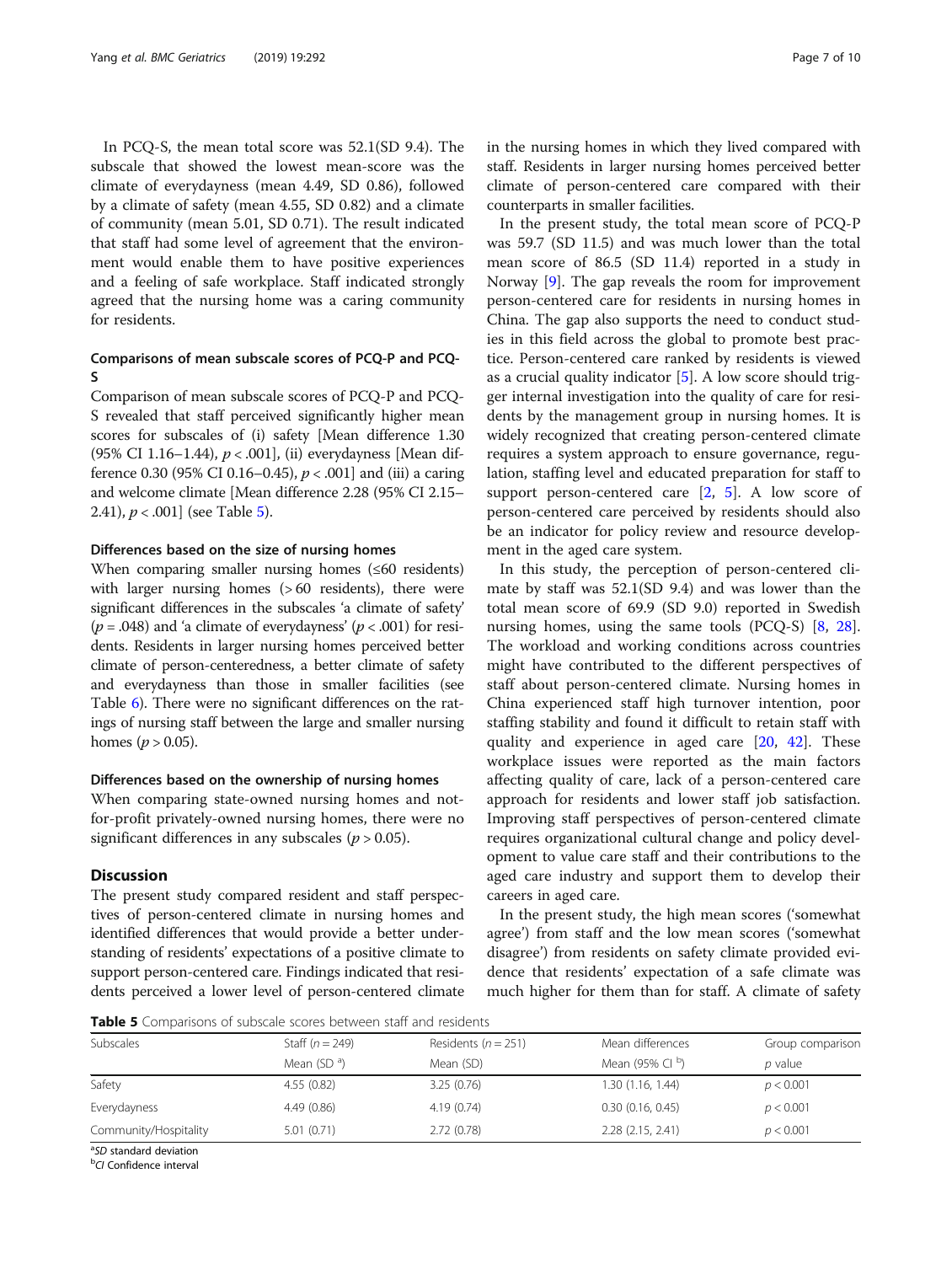In PCQ-S, the mean total score was 52.1(SD 9.4). The subscale that showed the lowest mean-score was the climate of everydayness (mean 4.49, SD 0.86), followed by a climate of safety (mean 4.55, SD 0.82) and a climate of community (mean 5.01, SD 0.71). The result indicated that staff had some level of agreement that the environment would enable them to have positive experiences and a feeling of safe workplace. Staff indicated strongly agreed that the nursing home was a caring community for residents.

# Comparisons of mean subscale scores of PCQ-P and PCQ-S

Comparison of mean subscale scores of PCQ-P and PCQ-S revealed that staff perceived significantly higher mean scores for subscales of (i) safety [Mean difference 1.30 (95% CI 1.16–1.44),  $p < .001$ ], (ii) everydayness [Mean difference 0.30 (95% CI 0.16–0.45),  $p < .001$  and (iii) a caring and welcome climate [Mean difference 2.28 (95% CI 2.15– 2.41),  $p < .001$  (see Table 5).

#### Differences based on the size of nursing homes

When comparing smaller nursing homes (≤60 residents) with larger nursing homes ( $>60$  residents), there were significant differences in the subscales 'a climate of safety' ( $p = .048$ ) and 'a climate of everydayness' ( $p < .001$ ) for residents. Residents in larger nursing homes perceived better climate of person-centeredness, a better climate of safety and everydayness than those in smaller facilities (see Table [6](#page-7-0)). There were no significant differences on the ratings of nursing staff between the large and smaller nursing homes ( $p > 0.05$ ).

## Differences based on the ownership of nursing homes

When comparing state-owned nursing homes and notfor-profit privately-owned nursing homes, there were no significant differences in any subscales ( $p > 0.05$ ).

#### **Discussion**

The present study compared resident and staff perspectives of person-centered climate in nursing homes and identified differences that would provide a better understanding of residents' expectations of a positive climate to support person-centered care. Findings indicated that residents perceived a lower level of person-centered climate in the nursing homes in which they lived compared with staff. Residents in larger nursing homes perceived better climate of person-centered care compared with their counterparts in smaller facilities.

In the present study, the total mean score of PCQ-P was 59.7 (SD 11.5) and was much lower than the total mean score of 86.5 (SD 11.4) reported in a study in Norway [\[9](#page-8-0)]. The gap reveals the room for improvement person-centered care for residents in nursing homes in China. The gap also supports the need to conduct studies in this field across the global to promote best practice. Person-centered care ranked by residents is viewed as a crucial quality indicator [\[5](#page-8-0)]. A low score should trigger internal investigation into the quality of care for residents by the management group in nursing homes. It is widely recognized that creating person-centered climate requires a system approach to ensure governance, regulation, staffing level and educated preparation for staff to support person-centered care  $[2, 5]$  $[2, 5]$  $[2, 5]$  $[2, 5]$  $[2, 5]$ . A low score of person-centered care perceived by residents should also be an indicator for policy review and resource development in the aged care system.

In this study, the perception of person-centered climate by staff was 52.1(SD 9.4) and was lower than the total mean score of 69.9 (SD 9.0) reported in Swedish nursing homes, using the same tools (PCQ-S) [[8](#page-8-0), [28](#page-9-0)]. The workload and working conditions across countries might have contributed to the different perspectives of staff about person-centered climate. Nursing homes in China experienced staff high turnover intention, poor staffing stability and found it difficult to retain staff with quality and experience in aged care  $[20, 42]$  $[20, 42]$  $[20, 42]$  $[20, 42]$ . These workplace issues were reported as the main factors affecting quality of care, lack of a person-centered care approach for residents and lower staff job satisfaction. Improving staff perspectives of person-centered climate requires organizational cultural change and policy development to value care staff and their contributions to the aged care industry and support them to develop their careers in aged care.

In the present study, the high mean scores ('somewhat agree') from staff and the low mean scores ('somewhat disagree') from residents on safety climate provided evidence that residents' expectation of a safe climate was much higher for them than for staff. A climate of safety

Table 5 Comparisons of subscale scores between staff and residents

| Subscales             | Staff $(n = 249)$ | Residents ( $n = 251$ ) | Mean differences  | Group comparison |
|-----------------------|-------------------|-------------------------|-------------------|------------------|
|                       | Mean $(SD^a)$     | Mean (SD)               | Mean (95% Cl b)   | <i>p</i> value   |
| Safety                | 4.55(0.82)        | 3.25(0.76)              | 1.30 (1.16, 1.44) | p < 0.001        |
| Everydayness          | 4.49(0.86)        | 4.19(0.74)              | 0.30(0.16, 0.45)  | p < 0.001        |
| Community/Hospitality | 5.01(0.71)        | 2.72(0.78)              | 2.28 (2.15, 2.41) | p < 0.001        |

<sup>a</sup>SD standard deviation<br><sup>b</sup>CL Confidence interval

<sup>b</sup>CI Confidence interval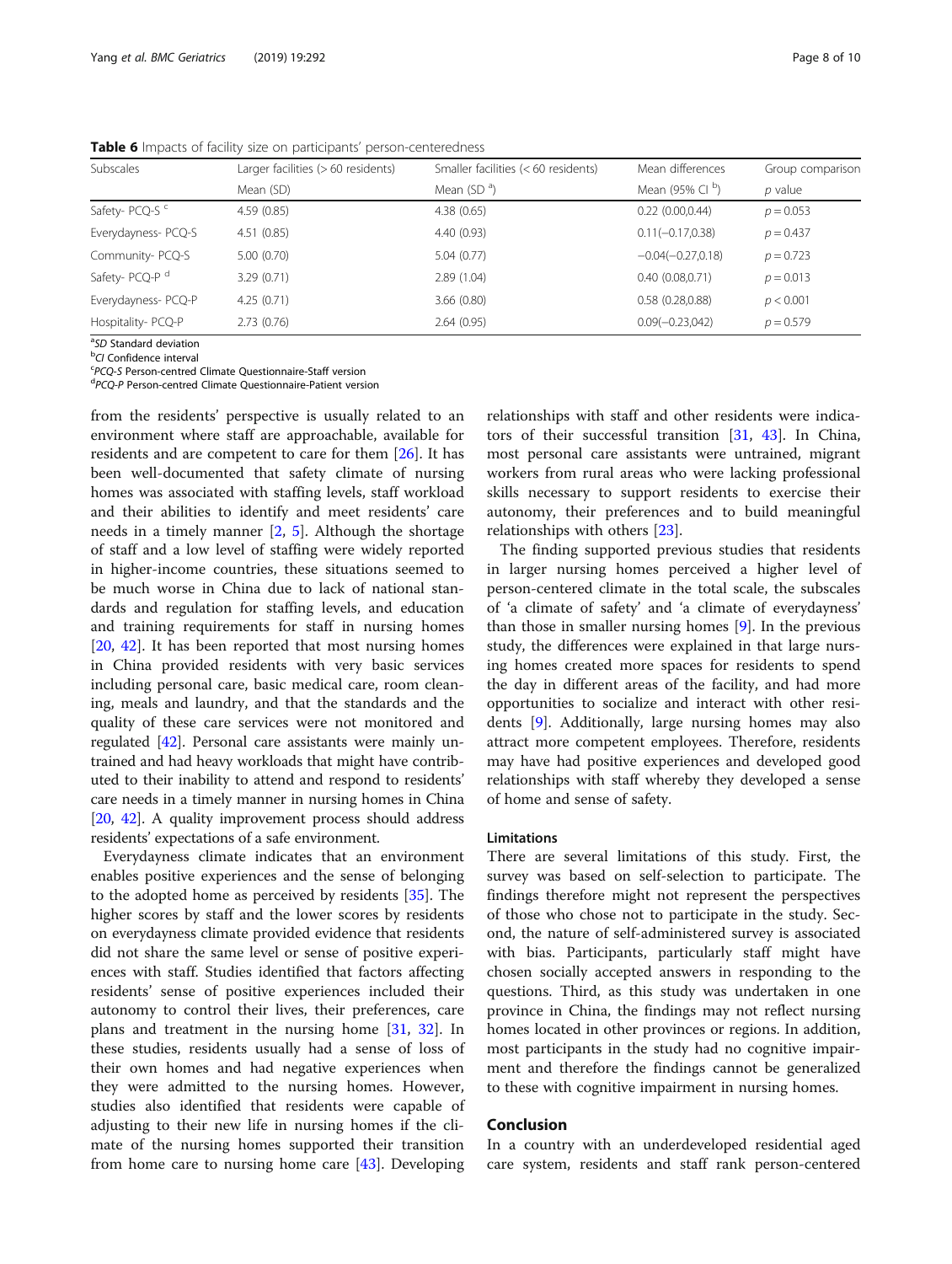Subscales Larger facilities (> 60 residents) Smaller facilities (< 60 residents) Mean differences Group comparison Mean  $(SD)$  Mean  $(SD^{\mathsf{a}})$ Mean (95% Cl $^{\rm b}$ ) ) p value Safety- PCQ-S <sup>c</sup> 4.59 (0.85) 4.38 (0.65) 4.38 (0.65) 0.22 (0.00,0.44)  $p = 0.053$ Everydayness- PCQ-S 4.51 (0.85) 4.40 (0.93) 0.11(−0.17,0.38) p = 0.437 Community- PCQ-S 5.00 (0.70) 5.04 (0.77) −0.04 (−0.27,0.18) p = 0.723 Safety- PCQ-P d 3.29 (0.71) 2.89 (1.04) 2.89 (1.04) 0.40 (0.08,0.71)  $p = 0.013$ Everydayness- PCQ-P 4.25 (0.71) 3.66 (0.80) 0.58 (0.28,0.88) p < 0.001 Hospitality- PCQ-P 2.73 (0.76) 2.64 (0.95) 0.09(−0.23,042) p = 0.579

<span id="page-7-0"></span>Table 6 Impacts of facility size on participants' person-centeredness

<sup>a</sup>SD Standard deviation<br><sup>b</sup>CL Confidence interval

<sup>b</sup>CI Confidence interval

<sup>c</sup>PCQ-S Person-centred Climate Questionnaire-Staff version

<sup>d</sup>PCO-P Person-centred Climate Questionnaire-Patient version

from the residents' perspective is usually related to an environment where staff are approachable, available for residents and are competent to care for them [\[26](#page-9-0)]. It has been well-documented that safety climate of nursing homes was associated with staffing levels, staff workload and their abilities to identify and meet residents' care needs in a timely manner  $[2, 5]$  $[2, 5]$  $[2, 5]$  $[2, 5]$ . Although the shortage of staff and a low level of staffing were widely reported in higher-income countries, these situations seemed to be much worse in China due to lack of national standards and regulation for staffing levels, and education and training requirements for staff in nursing homes [[20,](#page-9-0) [42\]](#page-9-0). It has been reported that most nursing homes in China provided residents with very basic services including personal care, basic medical care, room cleaning, meals and laundry, and that the standards and the quality of these care services were not monitored and regulated [\[42\]](#page-9-0). Personal care assistants were mainly untrained and had heavy workloads that might have contributed to their inability to attend and respond to residents' care needs in a timely manner in nursing homes in China [[20](#page-9-0), [42](#page-9-0)]. A quality improvement process should address residents' expectations of a safe environment.

Everydayness climate indicates that an environment enables positive experiences and the sense of belonging to the adopted home as perceived by residents [[35\]](#page-9-0). The higher scores by staff and the lower scores by residents on everydayness climate provided evidence that residents did not share the same level or sense of positive experiences with staff. Studies identified that factors affecting residents' sense of positive experiences included their autonomy to control their lives, their preferences, care plans and treatment in the nursing home [\[31,](#page-9-0) [32\]](#page-9-0). In these studies, residents usually had a sense of loss of their own homes and had negative experiences when they were admitted to the nursing homes. However, studies also identified that residents were capable of adjusting to their new life in nursing homes if the climate of the nursing homes supported their transition from home care to nursing home care [[43](#page-9-0)]. Developing

relationships with staff and other residents were indicators of their successful transition [\[31,](#page-9-0) [43\]](#page-9-0). In China, most personal care assistants were untrained, migrant workers from rural areas who were lacking professional skills necessary to support residents to exercise their autonomy, their preferences and to build meaningful relationships with others [\[23\]](#page-9-0).

The finding supported previous studies that residents in larger nursing homes perceived a higher level of person-centered climate in the total scale, the subscales of 'a climate of safety' and 'a climate of everydayness' than those in smaller nursing homes [[9](#page-8-0)]. In the previous study, the differences were explained in that large nursing homes created more spaces for residents to spend the day in different areas of the facility, and had more opportunities to socialize and interact with other residents [[9\]](#page-8-0). Additionally, large nursing homes may also attract more competent employees. Therefore, residents may have had positive experiences and developed good relationships with staff whereby they developed a sense of home and sense of safety.

#### Limitations

There are several limitations of this study. First, the survey was based on self-selection to participate. The findings therefore might not represent the perspectives of those who chose not to participate in the study. Second, the nature of self-administered survey is associated with bias. Participants, particularly staff might have chosen socially accepted answers in responding to the questions. Third, as this study was undertaken in one province in China, the findings may not reflect nursing homes located in other provinces or regions. In addition, most participants in the study had no cognitive impairment and therefore the findings cannot be generalized to these with cognitive impairment in nursing homes.

# Conclusion

In a country with an underdeveloped residential aged care system, residents and staff rank person-centered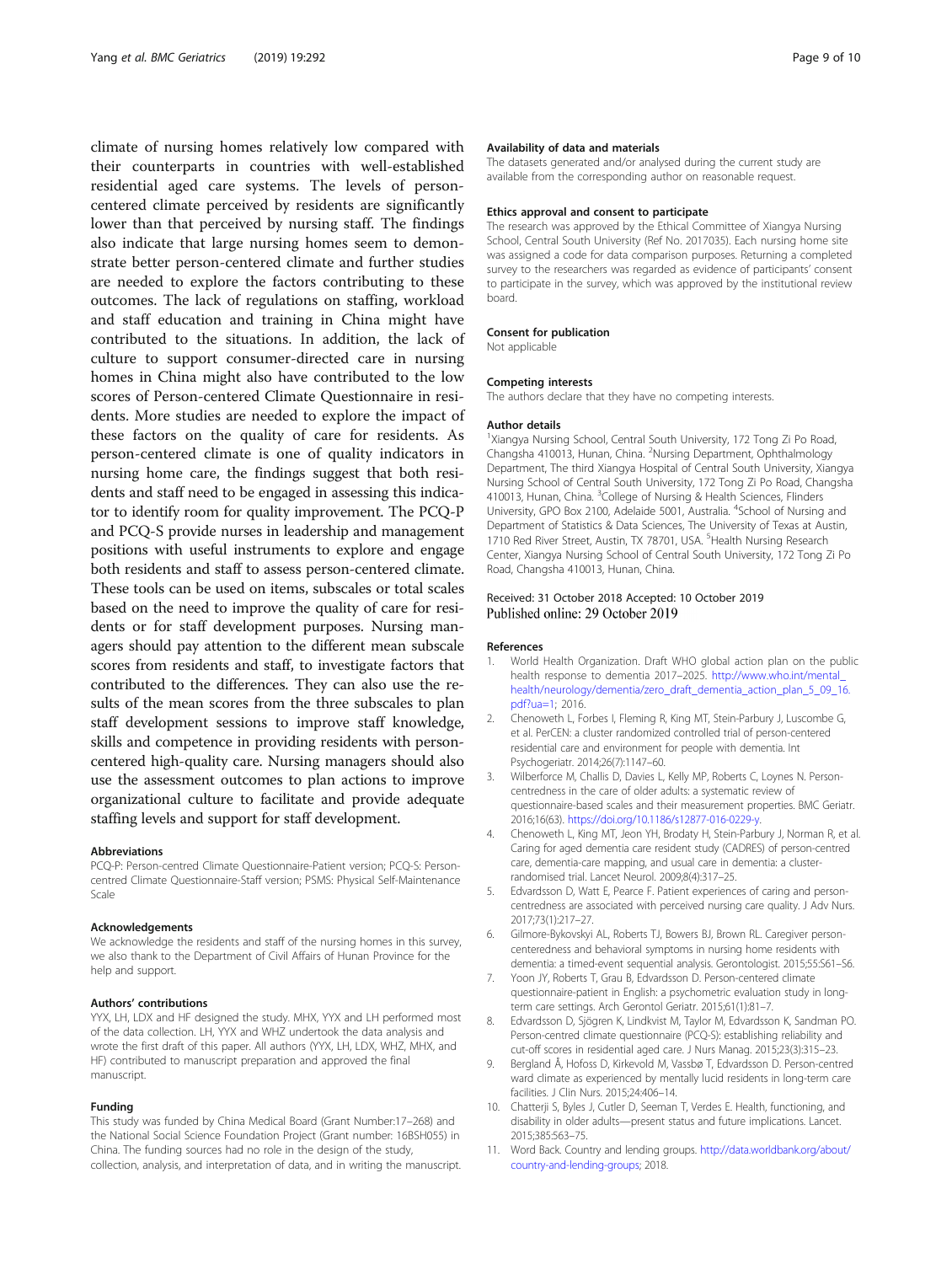<span id="page-8-0"></span>climate of nursing homes relatively low compared with their counterparts in countries with well-established residential aged care systems. The levels of personcentered climate perceived by residents are significantly lower than that perceived by nursing staff. The findings also indicate that large nursing homes seem to demonstrate better person-centered climate and further studies are needed to explore the factors contributing to these outcomes. The lack of regulations on staffing, workload and staff education and training in China might have contributed to the situations. In addition, the lack of culture to support consumer-directed care in nursing homes in China might also have contributed to the low scores of Person-centered Climate Questionnaire in residents. More studies are needed to explore the impact of these factors on the quality of care for residents. As person-centered climate is one of quality indicators in nursing home care, the findings suggest that both residents and staff need to be engaged in assessing this indicator to identify room for quality improvement. The PCQ-P and PCQ-S provide nurses in leadership and management positions with useful instruments to explore and engage both residents and staff to assess person-centered climate. These tools can be used on items, subscales or total scales based on the need to improve the quality of care for residents or for staff development purposes. Nursing managers should pay attention to the different mean subscale scores from residents and staff, to investigate factors that contributed to the differences. They can also use the results of the mean scores from the three subscales to plan staff development sessions to improve staff knowledge, skills and competence in providing residents with personcentered high-quality care. Nursing managers should also use the assessment outcomes to plan actions to improve organizational culture to facilitate and provide adequate staffing levels and support for staff development.

#### Abbreviations

PCQ-P: Person-centred Climate Questionnaire-Patient version; PCQ-S: Personcentred Climate Questionnaire-Staff version; PSMS: Physical Self-Maintenance Scale

#### Acknowledgements

We acknowledge the residents and staff of the nursing homes in this survey, we also thank to the Department of Civil Affairs of Hunan Province for the help and support.

#### Authors' contributions

YYX, LH, LDX and HF designed the study. MHX, YYX and LH performed most of the data collection. LH, YYX and WHZ undertook the data analysis and wrote the first draft of this paper. All authors (YYX, LH, LDX, WHZ, MHX, and HF) contributed to manuscript preparation and approved the final manuscript.

#### Funding

This study was funded by China Medical Board (Grant Number:17–268) and the National Social Science Foundation Project (Grant number: 16BSH055) in China. The funding sources had no role in the design of the study, collection, analysis, and interpretation of data, and in writing the manuscript.

#### Availability of data and materials

The datasets generated and/or analysed during the current study are available from the corresponding author on reasonable request.

#### Ethics approval and consent to participate

The research was approved by the Ethical Committee of Xiangya Nursing School, Central South University (Ref No. 2017035). Each nursing home site was assigned a code for data comparison purposes. Returning a completed survey to the researchers was regarded as evidence of participants' consent to participate in the survey, which was approved by the institutional review board.

#### Consent for publication

Not applicable

#### Competing interests

The authors declare that they have no competing interests.

#### Author details

<sup>1</sup>Xiangya Nursing School, Central South University, 172 Tong Zi Po Road Changsha 410013, Hunan, China. <sup>2</sup> Nursing Department, Ophthalmology Department, The third Xiangya Hospital of Central South University, Xiangya Nursing School of Central South University, 172 Tong Zi Po Road, Changsha 410013, Hunan, China. <sup>3</sup>College of Nursing & Health Sciences, Flinders University, GPO Box 2100, Adelaide 5001, Australia. <sup>4</sup>School of Nursing and Department of Statistics & Data Sciences, The University of Texas at Austin, 1710 Red River Street, Austin, TX 78701, USA. <sup>5</sup>Health Nursing Research Center, Xiangya Nursing School of Central South University, 172 Tong Zi Po Road, Changsha 410013, Hunan, China.

# Received: 31 October 2018 Accepted: 10 October 2019

#### References

- 1. World Health Organization. Draft WHO global action plan on the public health response to dementia 2017–2025. [http://www.who.int/mental\\_](http://www.who.int/mental_health/neurology/dementia/zero_draft_dementia_action_plan_5_09_16.pdf?ua=1) [health/neurology/dementia/zero\\_draft\\_dementia\\_action\\_plan\\_5\\_09\\_16.](http://www.who.int/mental_health/neurology/dementia/zero_draft_dementia_action_plan_5_09_16.pdf?ua=1) [pdf?ua=1](http://www.who.int/mental_health/neurology/dementia/zero_draft_dementia_action_plan_5_09_16.pdf?ua=1); 2016.
- 2. Chenoweth L, Forbes I, Fleming R, King MT, Stein-Parbury J, Luscombe G, et al. PerCEN: a cluster randomized controlled trial of person-centered residential care and environment for people with dementia. Int Psychogeriatr. 2014;26(7):1147–60.
- 3. Wilberforce M, Challis D, Davies L, Kelly MP, Roberts C, Loynes N. Personcentredness in the care of older adults: a systematic review of questionnaire-based scales and their measurement properties. BMC Geriatr. 2016;16(63). <https://doi.org/10.1186/s12877-016-0229-y>.
- 4. Chenoweth L, King MT, Jeon YH, Brodaty H, Stein-Parbury J, Norman R, et al. Caring for aged dementia care resident study (CADRES) of person-centred care, dementia-care mapping, and usual care in dementia: a clusterrandomised trial. Lancet Neurol. 2009;8(4):317–25.
- 5. Edvardsson D, Watt E, Pearce F. Patient experiences of caring and personcentredness are associated with perceived nursing care quality. J Adv Nurs. 2017;73(1):217–27.
- Gilmore-Bykovskyi AL, Roberts TJ, Bowers BJ, Brown RL. Caregiver personcenteredness and behavioral symptoms in nursing home residents with dementia: a timed-event sequential analysis. Gerontologist. 2015;55:S61–S6.
- 7. Yoon JY, Roberts T, Grau B, Edvardsson D. Person-centered climate questionnaire-patient in English: a psychometric evaluation study in longterm care settings. Arch Gerontol Geriatr. 2015;61(1):81–7.
- 8. Edvardsson D, Sjögren K, Lindkvist M, Taylor M, Edvardsson K, Sandman PO. Person-centred climate questionnaire (PCQ-S): establishing reliability and cut-off scores in residential aged care. J Nurs Manag. 2015;23(3):315–23.
- 9. Bergland Å, Hofoss D, Kirkevold M, Vassbø T, Edvardsson D. Person-centred ward climate as experienced by mentally lucid residents in long-term care facilities. J Clin Nurs. 2015;24:406–14.
- 10. Chatterji S, Byles J, Cutler D, Seeman T, Verdes E. Health, functioning, and disability in older adults—present status and future implications. Lancet. 2015;385:563–75.
- 11. Word Back. Country and lending groups. [http://data.worldbank.org/about/](http://data.worldbank.org/about/country-and-lending-groups) [country-and-lending-groups](http://data.worldbank.org/about/country-and-lending-groups); 2018.